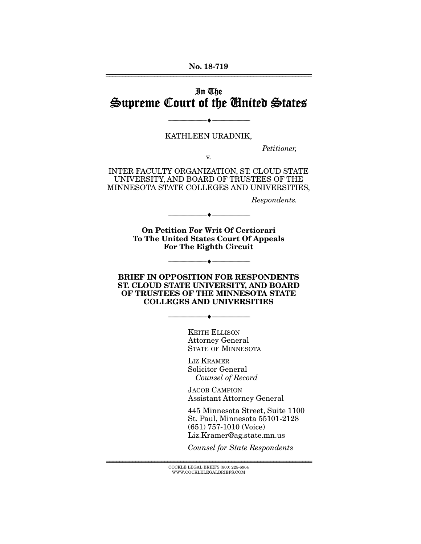#### No. 18-719 ================================================================

# In The Supreme Court of the United States

#### KATHLEEN URADNIK,

v.

--------------------------------- ---------------------------------

*Petitioner,* 

INTER FACULTY ORGANIZATION, ST. CLOUD STATE UNIVERSITY, AND BOARD OF TRUSTEES OF THE MINNESOTA STATE COLLEGES AND UNIVERSITIES,

*Respondents.* 

On Petition For Writ Of Certiorari To The United States Court Of Appeals For The Eighth Circuit

--------------------------------- ---------------------------------

--------------------------------- ---------------------------------

#### BRIEF IN OPPOSITION FOR RESPONDENTS ST. CLOUD STATE UNIVERSITY, AND BOARD OF TRUSTEES OF THE MINNESOTA STATE COLLEGES AND UNIVERSITIES

--------------------------------- ---------------------------------

KEITH ELLISON Attorney General STATE OF MINNESOTA

LIZ KRAMER Solicitor General *Counsel of Record*

JACOB CAMPION Assistant Attorney General

445 Minnesota Street, Suite 1100 St. Paul, Minnesota 55101-2128 (651) 757-1010 (Voice) Liz.Kramer@ag.state.mn.us

*Counsel for State Respondents* 

================================================================ COCKLE LEGAL BRIEFS (800) 225-6964 WWW.COCKLELEGALBRIEFS.COM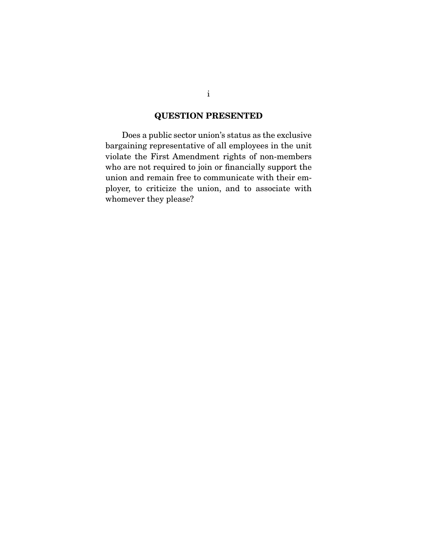# QUESTION PRESENTED

 Does a public sector union's status as the exclusive bargaining representative of all employees in the unit violate the First Amendment rights of non-members who are not required to join or financially support the union and remain free to communicate with their employer, to criticize the union, and to associate with whomever they please?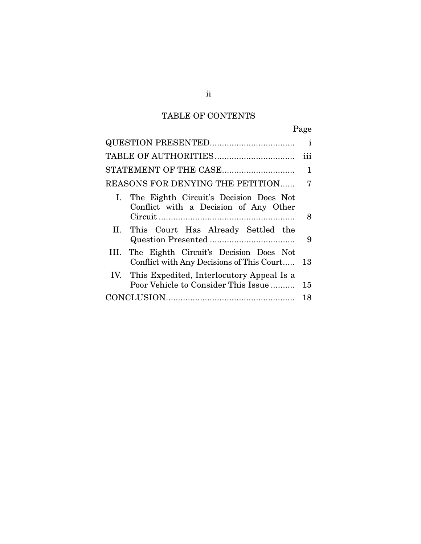# TABLE OF CONTENTS

|                                                                                          | $\mathbf{i}$ |
|------------------------------------------------------------------------------------------|--------------|
|                                                                                          | iii          |
| STATEMENT OF THE CASE                                                                    | 1            |
| REASONS FOR DENYING THE PETITION                                                         | 7            |
| I. The Eighth Circuit's Decision Does Not<br>Conflict with a Decision of Any Other       |              |
|                                                                                          | 8            |
| II. This Court Has Already Settled the                                                   | 9            |
| III. The Eighth Circuit's Decision Does Not<br>Conflict with Any Decisions of This Court | 13           |
| IV. This Expedited, Interlocutory Appeal Is a<br>Poor Vehicle to Consider This Issue     | 15           |
|                                                                                          | 18           |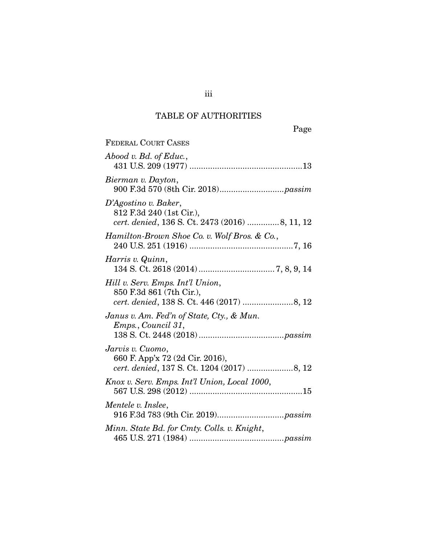# TABLE OF AUTHORITIES

| <b>FEDERAL COURT CASES</b>                                                                         |
|----------------------------------------------------------------------------------------------------|
| Abood v. Bd. of Educ.,                                                                             |
| Bierman v. Dayton,                                                                                 |
| D'Agostino v. Baker,<br>812 F.3d 240 (1st Cir.),<br>cert. denied, 136 S. Ct. 2473 (2016) 8, 11, 12 |
| Hamilton-Brown Shoe Co. v. Wolf Bros. & Co.,                                                       |
| Harris v. Quinn,                                                                                   |
| Hill v. Serv. Emps. Int'l Union,<br>850 F.3d 861 (7th Cir.),                                       |
| Janus v. Am. Fed'n of State, Cty., & Mun.<br>Emps., Council 31,                                    |
| Jarvis v. Cuomo,<br>660 F. App'x 72 (2d Cir. 2016),                                                |
| Knox v. Serv. Emps. Int'l Union, Local 1000,                                                       |
| Mentele v. Inslee,                                                                                 |
| Minn. State Bd. for Cmty. Colls. v. Knight,                                                        |

iii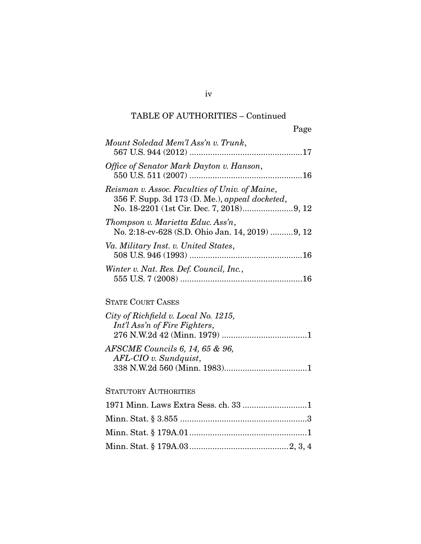## TABLE OF AUTHORITIES – Continued

Page

| Mount Soledad Mem'l Ass'n v. Trunk,                                                              |
|--------------------------------------------------------------------------------------------------|
| Office of Senator Mark Dayton v. Hanson,                                                         |
| Reisman v. Assoc. Faculties of Univ. of Maine,<br>356 F. Supp. 3d 173 (D. Me.), appeal docketed, |
| Thompson v. Marietta Educ. Ass'n,<br>No. 2:18-cv-628 (S.D. Ohio Jan. 14, 2019) 9, 12             |
| Va. Military Inst. v. United States,                                                             |
| Winter v. Nat. Res. Def. Council, Inc.,                                                          |

## STATE COURT CASES

| City of Richfield v. Local No. 1215, |  |
|--------------------------------------|--|
| Int'l Ass'n of Fire Fighters,        |  |
|                                      |  |
| AFSCME Councils 6, 14, 65 & 96,      |  |
| AFL-CIO v. Sundquist,                |  |
|                                      |  |

## STATUTORY AUTHORITIES

iv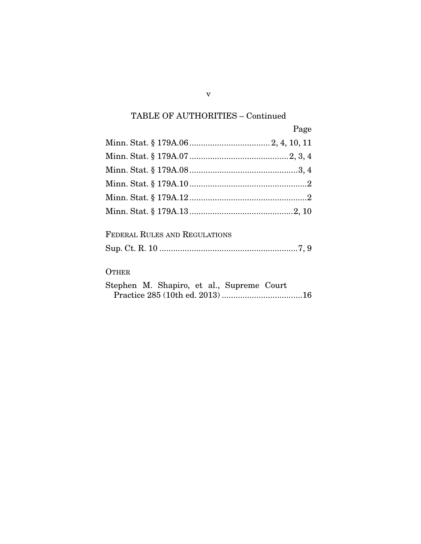# TABLE OF AUTHORITIES – Continued

| Page |
|------|
|      |
|      |
|      |
|      |
|      |
|      |

| FEDERAL RULES AND REGULATIONS |  |
|-------------------------------|--|
|                               |  |

## **OTHER**

|  |  | Stephen M. Shapiro, et al., Supreme Court |  |
|--|--|-------------------------------------------|--|
|  |  |                                           |  |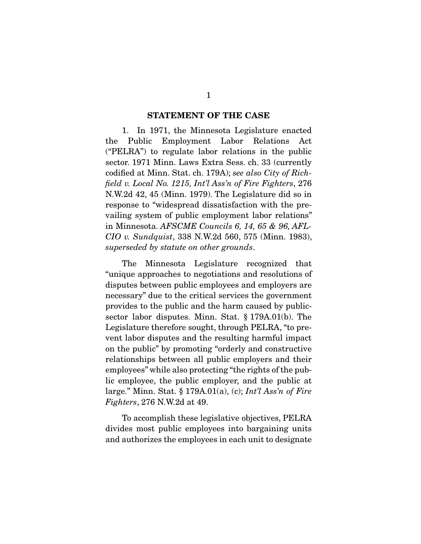#### STATEMENT OF THE CASE

 1. In 1971, the Minnesota Legislature enacted the Public Employment Labor Relations Act ("PELRA") to regulate labor relations in the public sector. 1971 Minn. Laws Extra Sess. ch. 33 (currently codified at Minn. Stat. ch. 179A); *see also City of Richfield v. Local No. 1215, Int'l Ass'n of Fire Fighters*, 276 N.W.2d 42, 45 (Minn. 1979). The Legislature did so in response to "widespread dissatisfaction with the prevailing system of public employment labor relations" in Minnesota. *AFSCME Councils 6, 14, 65 & 96, AFL-CIO v. Sundquist*, 338 N.W.2d 560, 575 (Minn. 1983), *superseded by statute on other grounds*.

 The Minnesota Legislature recognized that "unique approaches to negotiations and resolutions of disputes between public employees and employers are necessary" due to the critical services the government provides to the public and the harm caused by publicsector labor disputes. Minn. Stat. § 179A.01(b). The Legislature therefore sought, through PELRA, "to prevent labor disputes and the resulting harmful impact on the public" by promoting "orderly and constructive relationships between all public employers and their employees" while also protecting "the rights of the public employee, the public employer, and the public at large." Minn. Stat. § 179A.01(a), (c); *Int'l Ass'n of Fire Fighters*, 276 N.W.2d at 49.

 To accomplish these legislative objectives, PELRA divides most public employees into bargaining units and authorizes the employees in each unit to designate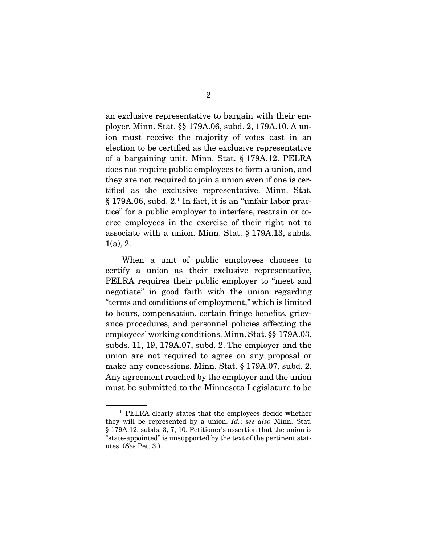an exclusive representative to bargain with their employer. Minn. Stat. §§ 179A.06, subd. 2, 179A.10. A union must receive the majority of votes cast in an election to be certified as the exclusive representative of a bargaining unit. Minn. Stat. § 179A.12. PELRA does not require public employees to form a union, and they are not required to join a union even if one is certified as the exclusive representative. Minn. Stat. § 179A.06, subd. 2.<sup>1</sup> In fact, it is an "unfair labor practice" for a public employer to interfere, restrain or coerce employees in the exercise of their right not to associate with a union. Minn. Stat. § 179A.13, subds.  $1(a)$ , 2.

 When a unit of public employees chooses to certify a union as their exclusive representative, PELRA requires their public employer to "meet and negotiate" in good faith with the union regarding "terms and conditions of employment," which is limited to hours, compensation, certain fringe benefits, grievance procedures, and personnel policies affecting the employees' working conditions. Minn. Stat. §§ 179A.03, subds. 11, 19, 179A.07, subd. 2. The employer and the union are not required to agree on any proposal or make any concessions. Minn. Stat. § 179A.07, subd. 2. Any agreement reached by the employer and the union must be submitted to the Minnesota Legislature to be

<sup>1</sup> PELRA clearly states that the employees decide whether they will be represented by a union. *Id.*; *see also* Minn. Stat. § 179A.12, subds. 3, 7, 10. Petitioner's assertion that the union is "state-appointed" is unsupported by the text of the pertinent statutes. (*See* Pet. 3.)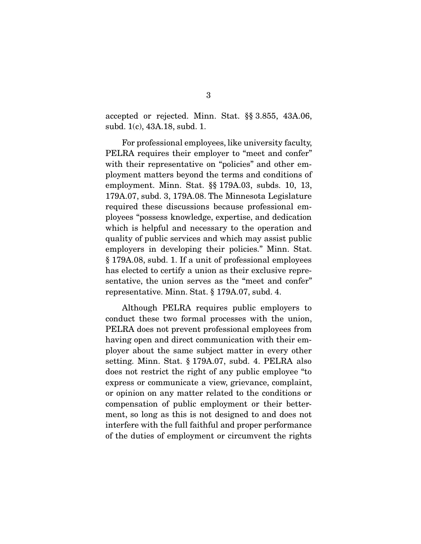accepted or rejected. Minn. Stat. §§ 3.855, 43A.06, subd. 1(c), 43A.18, subd. 1.

 For professional employees, like university faculty, PELRA requires their employer to "meet and confer" with their representative on "policies" and other employment matters beyond the terms and conditions of employment. Minn. Stat. §§ 179A.03, subds. 10, 13, 179A.07, subd. 3, 179A.08. The Minnesota Legislature required these discussions because professional employees "possess knowledge, expertise, and dedication which is helpful and necessary to the operation and quality of public services and which may assist public employers in developing their policies." Minn. Stat. § 179A.08, subd. 1. If a unit of professional employees has elected to certify a union as their exclusive representative, the union serves as the "meet and confer" representative. Minn. Stat. § 179A.07, subd. 4.

 Although PELRA requires public employers to conduct these two formal processes with the union, PELRA does not prevent professional employees from having open and direct communication with their employer about the same subject matter in every other setting. Minn. Stat. § 179A.07, subd. 4. PELRA also does not restrict the right of any public employee "to express or communicate a view, grievance, complaint, or opinion on any matter related to the conditions or compensation of public employment or their betterment, so long as this is not designed to and does not interfere with the full faithful and proper performance of the duties of employment or circumvent the rights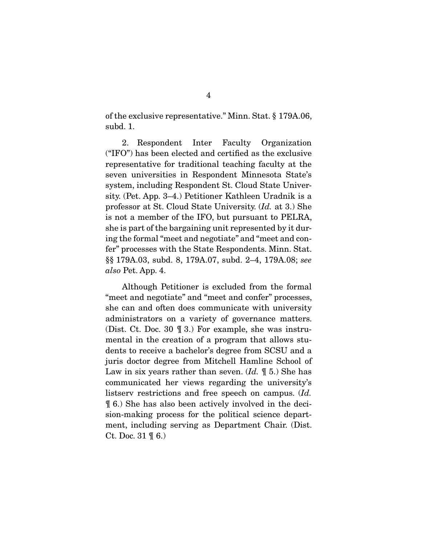of the exclusive representative." Minn. Stat. § 179A.06, subd. 1.

 2. Respondent Inter Faculty Organization ("IFO") has been elected and certified as the exclusive representative for traditional teaching faculty at the seven universities in Respondent Minnesota State's system, including Respondent St. Cloud State University. (Pet. App. 3–4.) Petitioner Kathleen Uradnik is a professor at St. Cloud State University. (*Id.* at 3.) She is not a member of the IFO, but pursuant to PELRA, she is part of the bargaining unit represented by it during the formal "meet and negotiate" and "meet and confer" processes with the State Respondents. Minn. Stat. §§ 179A.03, subd. 8, 179A.07, subd. 2–4, 179A.08; *see also* Pet. App. 4.

 Although Petitioner is excluded from the formal "meet and negotiate" and "meet and confer" processes, she can and often does communicate with university administrators on a variety of governance matters. (Dist. Ct. Doc. 30 ¶ 3.) For example, she was instrumental in the creation of a program that allows students to receive a bachelor's degree from SCSU and a juris doctor degree from Mitchell Hamline School of Law in six years rather than seven. (*Id.* ¶ 5.) She has communicated her views regarding the university's listserv restrictions and free speech on campus. (*Id.* ¶ 6.) She has also been actively involved in the decision-making process for the political science department, including serving as Department Chair. (Dist. Ct. Doc. 31 ¶ 6.)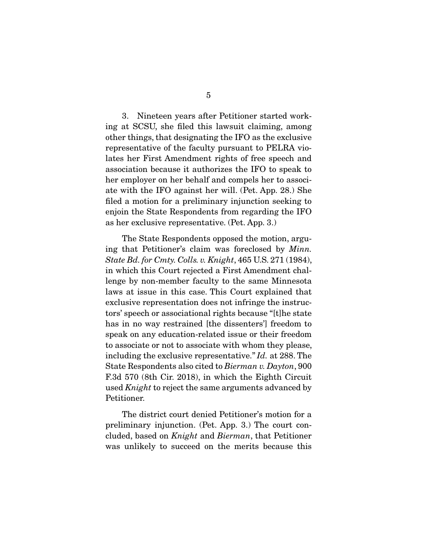3. Nineteen years after Petitioner started working at SCSU, she filed this lawsuit claiming, among other things, that designating the IFO as the exclusive representative of the faculty pursuant to PELRA violates her First Amendment rights of free speech and association because it authorizes the IFO to speak to her employer on her behalf and compels her to associate with the IFO against her will. (Pet. App. 28.) She filed a motion for a preliminary injunction seeking to enjoin the State Respondents from regarding the IFO as her exclusive representative. (Pet. App. 3.)

 The State Respondents opposed the motion, arguing that Petitioner's claim was foreclosed by *Minn. State Bd. for Cmty. Colls. v. Knight*, 465 U.S. 271 (1984), in which this Court rejected a First Amendment challenge by non-member faculty to the same Minnesota laws at issue in this case. This Court explained that exclusive representation does not infringe the instructors' speech or associational rights because "[t]he state has in no way restrained [the dissenters'] freedom to speak on any education-related issue or their freedom to associate or not to associate with whom they please, including the exclusive representative." *Id.* at 288. The State Respondents also cited to *Bierman v. Dayton*, 900 F.3d 570 (8th Cir. 2018), in which the Eighth Circuit used *Knight* to reject the same arguments advanced by Petitioner.

 The district court denied Petitioner's motion for a preliminary injunction. (Pet. App. 3.) The court concluded, based on *Knight* and *Bierman*, that Petitioner was unlikely to succeed on the merits because this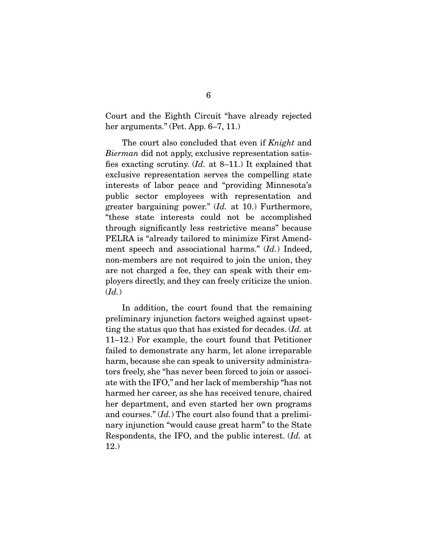Court and the Eighth Circuit "have already rejected her arguments." (Pet. App. 6–7, 11.)

 The court also concluded that even if *Knight* and *Bierman* did not apply, exclusive representation satisfies exacting scrutiny. (*Id.* at 8–11.) It explained that exclusive representation serves the compelling state interests of labor peace and "providing Minnesota's public sector employees with representation and greater bargaining power." (*Id.* at 10.) Furthermore, "these state interests could not be accomplished through significantly less restrictive means" because PELRA is "already tailored to minimize First Amendment speech and associational harms." (*Id.*) Indeed, non-members are not required to join the union, they are not charged a fee, they can speak with their employers directly, and they can freely criticize the union. (*Id.*)

 In addition, the court found that the remaining preliminary injunction factors weighed against upsetting the status quo that has existed for decades. (*Id.* at 11–12.) For example, the court found that Petitioner failed to demonstrate any harm, let alone irreparable harm, because she can speak to university administrators freely, she "has never been forced to join or associate with the IFO," and her lack of membership "has not harmed her career, as she has received tenure, chaired her department, and even started her own programs and courses." (*Id.*) The court also found that a preliminary injunction "would cause great harm" to the State Respondents, the IFO, and the public interest. (*Id.* at 12.)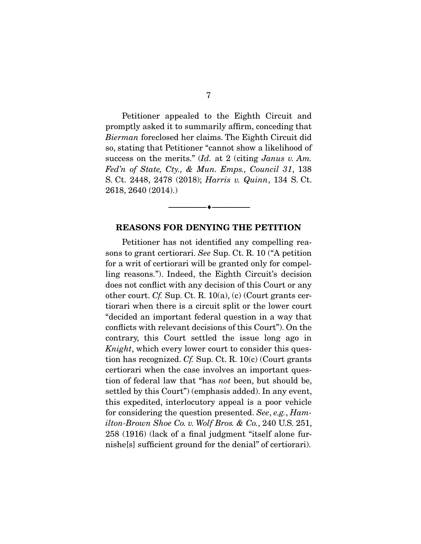Petitioner appealed to the Eighth Circuit and promptly asked it to summarily affirm, conceding that *Bierman* foreclosed her claims. The Eighth Circuit did so, stating that Petitioner "cannot show a likelihood of success on the merits." (*Id.* at 2 (citing *Janus v. Am. Fed'n of State, Cty., & Mun. Emps., Council 31*, 138 S. Ct. 2448, 2478 (2018); *Harris v. Quinn*, 134 S. Ct. 2618, 2640 (2014).)

#### REASONS FOR DENYING THE PETITION

--------------------------------- ---------------------------------

 Petitioner has not identified any compelling reasons to grant certiorari. *See* Sup. Ct. R. 10 ("A petition for a writ of certiorari will be granted only for compelling reasons."). Indeed, the Eighth Circuit's decision does not conflict with any decision of this Court or any other court. *Cf.* Sup. Ct. R. 10(a), (c) (Court grants certiorari when there is a circuit split or the lower court "decided an important federal question in a way that conflicts with relevant decisions of this Court"). On the contrary, this Court settled the issue long ago in *Knight*, which every lower court to consider this question has recognized. *Cf.* Sup. Ct. R. 10(c) (Court grants certiorari when the case involves an important question of federal law that "has *not* been, but should be, settled by this Court") (emphasis added). In any event, this expedited, interlocutory appeal is a poor vehicle for considering the question presented. *See*, *e.g.*, *Hamilton-Brown Shoe Co. v. Wolf Bros. & Co.*, 240 U.S. 251, 258 (1916) (lack of a final judgment "itself alone furnishe[s] sufficient ground for the denial" of certiorari).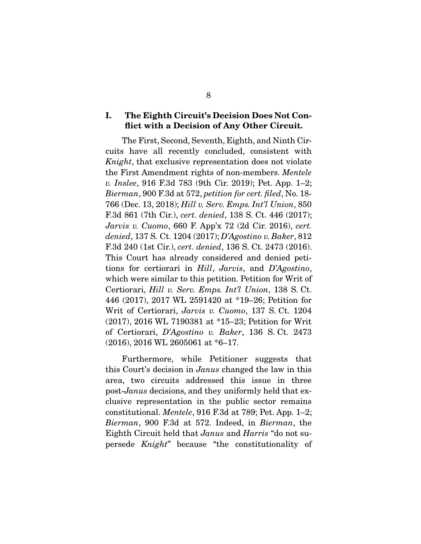### I. The Eighth Circuit's Decision Does Not Conflict with a Decision of Any Other Circuit.

 The First, Second, Seventh, Eighth, and Ninth Circuits have all recently concluded, consistent with *Knight*, that exclusive representation does not violate the First Amendment rights of non-members. *Mentele v. Inslee*, 916 F.3d 783 (9th Cir. 2019); Pet. App. 1–2; *Bierman*, 900 F.3d at 572, *petition for cert. filed*, No. 18- 766 (Dec. 13, 2018); *Hill v. Serv. Emps. Int'l Union*, 850 F.3d 861 (7th Cir.), *cert. denied*, 138 S. Ct. 446 (2017); *Jarvis v. Cuomo*, 660 F. App'x 72 (2d Cir. 2016), *cert. denied*, 137 S. Ct. 1204 (2017); *D'Agostino v. Baker*, 812 F.3d 240 (1st Cir.), *cert. denied*, 136 S. Ct. 2473 (2016). This Court has already considered and denied petitions for certiorari in *Hill*, *Jarvis*, and *D'Agostino*, which were similar to this petition. Petition for Writ of Certiorari, *Hill v. Serv. Emps. Int'l Union*, 138 S. Ct. 446 (2017), 2017 WL 2591420 at \*19–26; Petition for Writ of Certiorari, *Jarvis v. Cuomo*, 137 S. Ct. 1204 (2017), 2016 WL 7190381 at \*15–23; Petition for Writ of Certiorari, *D'Agostino v. Baker*, 136 S. Ct. 2473 (2016), 2016 WL 2605061 at \*6–17.

 Furthermore, while Petitioner suggests that this Court's decision in *Janus* changed the law in this area, two circuits addressed this issue in three post-*Janus* decisions, and they uniformly held that exclusive representation in the public sector remains constitutional. *Mentele*, 916 F.3d at 789; Pet. App. 1–2; *Bierman*, 900 F.3d at 572. Indeed, in *Bierman*, the Eighth Circuit held that *Janus* and *Harris* "do not supersede *Knight*" because "the constitutionality of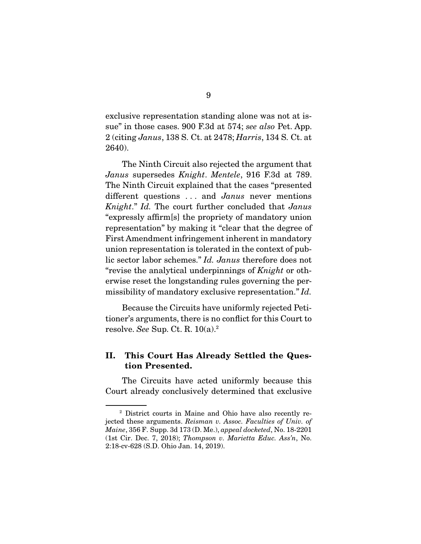exclusive representation standing alone was not at issue" in those cases. 900 F.3d at 574; *see also* Pet. App. 2 (citing *Janus*, 138 S. Ct. at 2478; *Harris*, 134 S. Ct. at 2640).

 The Ninth Circuit also rejected the argument that *Janus* supersedes *Knight*. *Mentele*, 916 F.3d at 789. The Ninth Circuit explained that the cases "presented different questions . . . and *Janus* never mentions *Knight*." *Id.* The court further concluded that *Janus* "expressly affirm[s] the propriety of mandatory union representation" by making it "clear that the degree of First Amendment infringement inherent in mandatory union representation is tolerated in the context of public sector labor schemes." *Id. Janus* therefore does not "revise the analytical underpinnings of *Knight* or otherwise reset the longstanding rules governing the permissibility of mandatory exclusive representation." *Id.*

 Because the Circuits have uniformly rejected Petitioner's arguments, there is no conflict for this Court to resolve. *See* Sup. Ct. R. 10(a).2

### II. This Court Has Already Settled the Question Presented.

 The Circuits have acted uniformly because this Court already conclusively determined that exclusive

<sup>2</sup> District courts in Maine and Ohio have also recently rejected these arguments. *Reisman v. Assoc. Faculties of Univ. of Maine*, 356 F. Supp. 3d 173 (D. Me.), *appeal docketed*, No. 18-2201 (1st Cir. Dec. 7, 2018); *Thompson v. Marietta Educ. Ass'n*, No. 2:18-cv-628 (S.D. Ohio Jan. 14, 2019).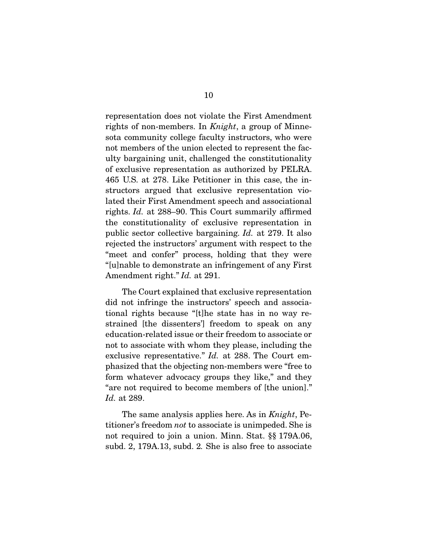representation does not violate the First Amendment rights of non-members. In *Knight*, a group of Minnesota community college faculty instructors, who were not members of the union elected to represent the faculty bargaining unit, challenged the constitutionality of exclusive representation as authorized by PELRA. 465 U.S. at 278. Like Petitioner in this case, the instructors argued that exclusive representation violated their First Amendment speech and associational rights. *Id.* at 288–90. This Court summarily affirmed the constitutionality of exclusive representation in public sector collective bargaining. *Id.* at 279. It also rejected the instructors' argument with respect to the "meet and confer" process, holding that they were "[u]nable to demonstrate an infringement of any First Amendment right." *Id.* at 291.

 The Court explained that exclusive representation did not infringe the instructors' speech and associational rights because "[t]he state has in no way restrained [the dissenters'] freedom to speak on any education-related issue or their freedom to associate or not to associate with whom they please, including the exclusive representative." *Id.* at 288. The Court emphasized that the objecting non-members were "free to form whatever advocacy groups they like," and they "are not required to become members of [the union]." *Id.* at 289.

 The same analysis applies here. As in *Knight*, Petitioner's freedom *not* to associate is unimpeded. She is not required to join a union. Minn. Stat. §§ 179A.06, subd. 2, 179A.13, subd. 2*.* She is also free to associate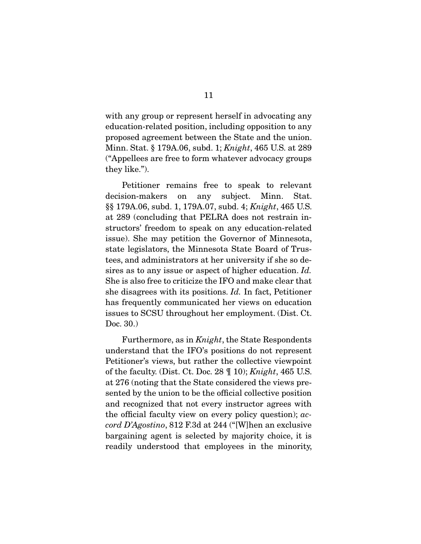with any group or represent herself in advocating any education-related position, including opposition to any proposed agreement between the State and the union. Minn. Stat. § 179A.06, subd. 1; *Knight*, 465 U.S. at 289 ("Appellees are free to form whatever advocacy groups they like.").

 Petitioner remains free to speak to relevant decision-makers on any subject. Minn. Stat. §§ 179A.06, subd. 1, 179A.07, subd. 4; *Knight*, 465 U.S. at 289 (concluding that PELRA does not restrain instructors' freedom to speak on any education-related issue). She may petition the Governor of Minnesota, state legislators, the Minnesota State Board of Trustees, and administrators at her university if she so desires as to any issue or aspect of higher education. *Id.* She is also free to criticize the IFO and make clear that she disagrees with its positions. *Id.* In fact, Petitioner has frequently communicated her views on education issues to SCSU throughout her employment. (Dist. Ct. Doc. 30.)

 Furthermore, as in *Knight*, the State Respondents understand that the IFO's positions do not represent Petitioner's views, but rather the collective viewpoint of the faculty. (Dist. Ct. Doc. 28 ¶ 10); *Knight*, 465 U.S. at 276 (noting that the State considered the views presented by the union to be the official collective position and recognized that not every instructor agrees with the official faculty view on every policy question); *accord D'Agostino*, 812 F.3d at 244 ("[W]hen an exclusive bargaining agent is selected by majority choice, it is readily understood that employees in the minority,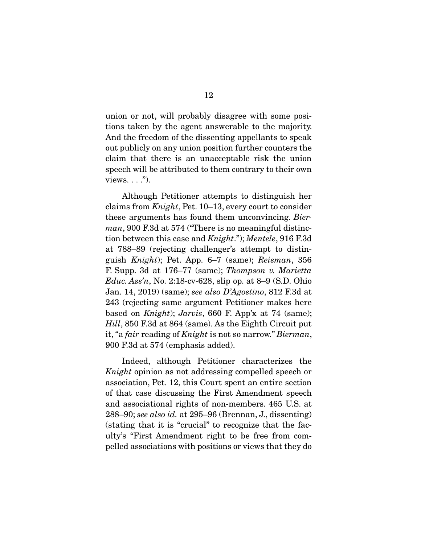union or not, will probably disagree with some positions taken by the agent answerable to the majority. And the freedom of the dissenting appellants to speak out publicly on any union position further counters the claim that there is an unacceptable risk the union speech will be attributed to them contrary to their own views.  $\ldots$ ").

 Although Petitioner attempts to distinguish her claims from *Knight*, Pet. 10–13, every court to consider these arguments has found them unconvincing. *Bierman*, 900 F.3d at 574 ("There is no meaningful distinction between this case and *Knight*."); *Mentele*, 916 F.3d at 788–89 (rejecting challenger's attempt to distinguish *Knight*); Pet. App. 6–7 (same); *Reisman*, 356 F. Supp. 3d at 176–77 (same); *Thompson v. Marietta Educ. Ass'n*, No. 2:18-cv-628, slip op. at 8–9 (S.D. Ohio Jan. 14, 2019) (same); *see also D'Agostino*, 812 F.3d at 243 (rejecting same argument Petitioner makes here based on *Knight*); *Jarvis*, 660 F. App'x at 74 (same); *Hill*, 850 F.3d at 864 (same). As the Eighth Circuit put it, "a *fair* reading of *Knight* is not so narrow." *Bierman*, 900 F.3d at 574 (emphasis added).

 Indeed, although Petitioner characterizes the *Knight* opinion as not addressing compelled speech or association, Pet. 12, this Court spent an entire section of that case discussing the First Amendment speech and associational rights of non-members. 465 U.S. at 288–90; *see also id.* at 295–96 (Brennan, J., dissenting) (stating that it is "crucial" to recognize that the faculty's "First Amendment right to be free from compelled associations with positions or views that they do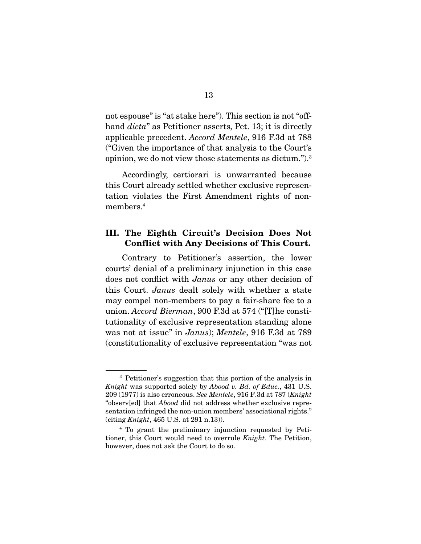not espouse" is "at stake here"). This section is not "offhand *dicta*" as Petitioner asserts, Pet. 13; it is directly applicable precedent. *Accord Mentele*, 916 F.3d at 788 ("Given the importance of that analysis to the Court's opinion, we do not view those statements as dictum.").3

 Accordingly, certiorari is unwarranted because this Court already settled whether exclusive representation violates the First Amendment rights of nonmembers.4

### III. The Eighth Circuit's Decision Does Not Conflict with Any Decisions of This Court.

 Contrary to Petitioner's assertion, the lower courts' denial of a preliminary injunction in this case does not conflict with *Janus* or any other decision of this Court. *Janus* dealt solely with whether a state may compel non-members to pay a fair-share fee to a union. *Accord Bierman*, 900 F.3d at 574 ("[T]he constitutionality of exclusive representation standing alone was not at issue" in *Janus*); *Mentele*, 916 F.3d at 789 (constitutionality of exclusive representation "was not

<sup>3</sup> Petitioner's suggestion that this portion of the analysis in *Knight* was supported solely by *Abood v. Bd. of Educ.*, 431 U.S. 209 (1977) is also erroneous. *See Mentele*, 916 F.3d at 787 (*Knight* "observ[ed] that *Abood* did not address whether exclusive representation infringed the non-union members' associational rights." (citing *Knight*, 465 U.S. at 291 n.13)).

<sup>4</sup> To grant the preliminary injunction requested by Petitioner, this Court would need to overrule *Knight*. The Petition, however, does not ask the Court to do so.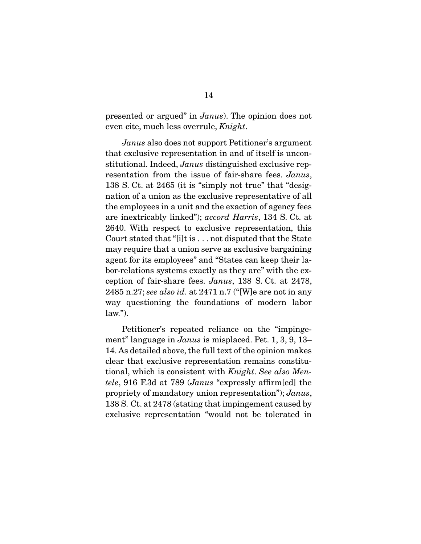presented or argued" in *Janus*). The opinion does not even cite, much less overrule, *Knight*.

*Janus* also does not support Petitioner's argument that exclusive representation in and of itself is unconstitutional. Indeed, *Janus* distinguished exclusive representation from the issue of fair-share fees. *Janus*, 138 S. Ct. at 2465 (it is "simply not true" that "designation of a union as the exclusive representative of all the employees in a unit and the exaction of agency fees are inextricably linked"); *accord Harris*, 134 S. Ct. at 2640. With respect to exclusive representation, this Court stated that "[i]t is . . . not disputed that the State may require that a union serve as exclusive bargaining agent for its employees" and "States can keep their labor-relations systems exactly as they are" with the exception of fair-share fees. *Janus*, 138 S. Ct. at 2478, 2485 n.27; *see also id.* at 2471 n.7 ("[W]e are not in any way questioning the foundations of modern labor  $law.'$ ).

 Petitioner's repeated reliance on the "impingement" language in *Janus* is misplaced. Pet. 1, 3, 9, 13– 14. As detailed above, the full text of the opinion makes clear that exclusive representation remains constitutional, which is consistent with *Knight*. *See also Mentele*, 916 F.3d at 789 (*Janus* "expressly affirm[ed] the propriety of mandatory union representation"); *Janus*, 138 S. Ct. at 2478 (stating that impingement caused by exclusive representation "would not be tolerated in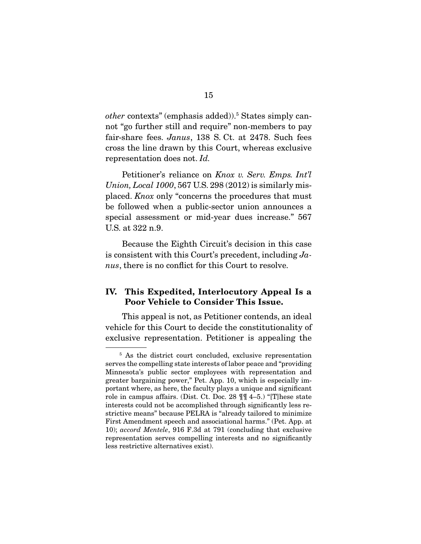other contexts" (emphasis added)).<sup>5</sup> States simply cannot "go further still and require" non-members to pay fair-share fees. *Janus*, 138 S. Ct. at 2478. Such fees cross the line drawn by this Court, whereas exclusive representation does not. *Id.*

 Petitioner's reliance on *Knox v. Serv. Emps. Int'l Union, Local 1000*, 567 U.S. 298 (2012) is similarly misplaced. *Knox* only "concerns the procedures that must be followed when a public-sector union announces a special assessment or mid-year dues increase." 567 U.S. at 322 n.9.

 Because the Eighth Circuit's decision in this case is consistent with this Court's precedent, including *Janus*, there is no conflict for this Court to resolve.

### IV. This Expedited, Interlocutory Appeal Is a Poor Vehicle to Consider This Issue.

 This appeal is not, as Petitioner contends, an ideal vehicle for this Court to decide the constitutionality of exclusive representation. Petitioner is appealing the

<sup>&</sup>lt;sup>5</sup> As the district court concluded, exclusive representation serves the compelling state interests of labor peace and "providing Minnesota's public sector employees with representation and greater bargaining power," Pet. App. 10, which is especially important where, as here, the faculty plays a unique and significant role in campus affairs. (Dist. Ct. Doc. 28 ¶¶ 4–5.) "[T]hese state interests could not be accomplished through significantly less restrictive means" because PELRA is "already tailored to minimize First Amendment speech and associational harms." (Pet. App. at 10); *accord Mentele*, 916 F.3d at 791 (concluding that exclusive representation serves compelling interests and no significantly less restrictive alternatives exist).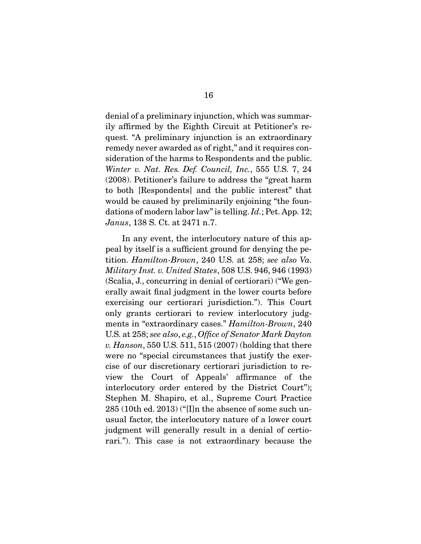denial of a preliminary injunction, which was summarily affirmed by the Eighth Circuit at Petitioner's request. "A preliminary injunction is an extraordinary remedy never awarded as of right," and it requires consideration of the harms to Respondents and the public. *Winter v. Nat. Res. Def. Council, Inc.*, 555 U.S. 7, 24 (2008). Petitioner's failure to address the "great harm to both [Respondents] and the public interest" that would be caused by preliminarily enjoining "the foundations of modern labor law" is telling. *Id.*; Pet. App. 12; *Janus*, 138 S. Ct. at 2471 n.7.

 In any event, the interlocutory nature of this appeal by itself is a sufficient ground for denying the petition. *Hamilton-Brown*, 240 U.S. at 258; *see also Va. Military Inst. v. United States*, 508 U.S. 946, 946 (1993) (Scalia, J., concurring in denial of certiorari) ("We generally await final judgment in the lower courts before exercising our certiorari jurisdiction."). This Court only grants certiorari to review interlocutory judgments in "extraordinary cases." *Hamilton-Brown*, 240 U.S. at 258; *see also*, *e.g.*, *Office of Senator Mark Dayton v. Hanson*, 550 U.S. 511, 515 (2007) (holding that there were no "special circumstances that justify the exercise of our discretionary certiorari jurisdiction to review the Court of Appeals' affirmance of the interlocutory order entered by the District Court"); Stephen M. Shapiro, et al., Supreme Court Practice 285 (10th ed. 2013) ("[I]n the absence of some such unusual factor, the interlocutory nature of a lower court judgment will generally result in a denial of certiorari."). This case is not extraordinary because the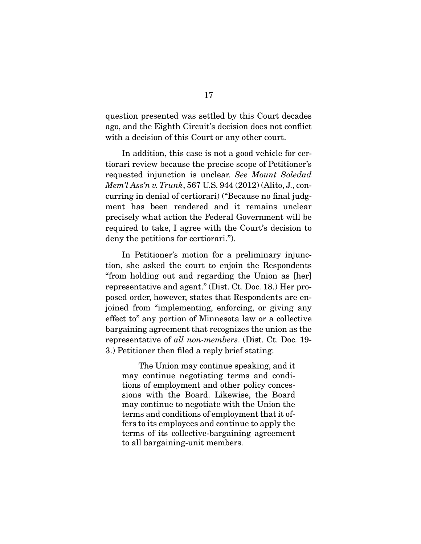question presented was settled by this Court decades ago, and the Eighth Circuit's decision does not conflict with a decision of this Court or any other court.

 In addition, this case is not a good vehicle for certiorari review because the precise scope of Petitioner's requested injunction is unclear. *See Mount Soledad Mem'l Ass'n v. Trunk*, 567 U.S. 944 (2012) (Alito, J., concurring in denial of certiorari) ("Because no final judgment has been rendered and it remains unclear precisely what action the Federal Government will be required to take, I agree with the Court's decision to deny the petitions for certiorari.").

 In Petitioner's motion for a preliminary injunction, she asked the court to enjoin the Respondents "from holding out and regarding the Union as [her] representative and agent." (Dist. Ct. Doc. 18.) Her proposed order, however, states that Respondents are enjoined from "implementing, enforcing, or giving any effect to" any portion of Minnesota law or a collective bargaining agreement that recognizes the union as the representative of *all non-members*. (Dist. Ct. Doc. 19- 3.) Petitioner then filed a reply brief stating:

 The Union may continue speaking, and it may continue negotiating terms and conditions of employment and other policy concessions with the Board. Likewise, the Board may continue to negotiate with the Union the terms and conditions of employment that it offers to its employees and continue to apply the terms of its collective-bargaining agreement to all bargaining-unit members.